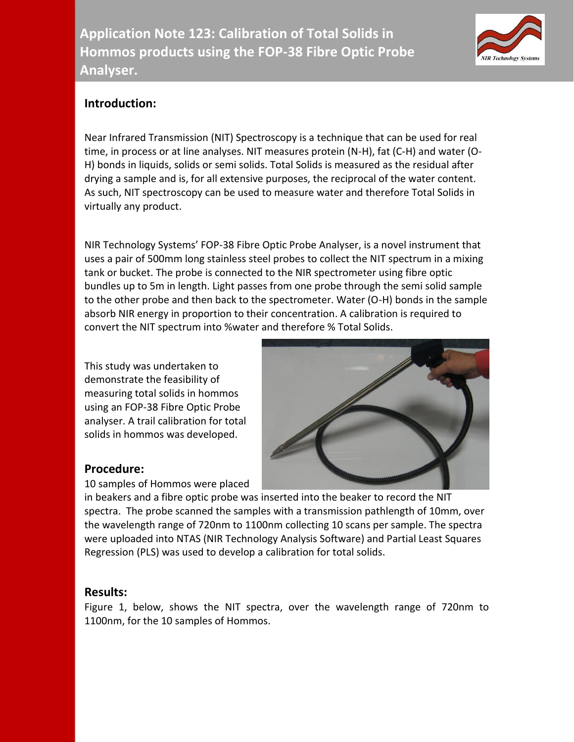

## **Introduction:**

Near Infrared Transmission (NIT) Spectroscopy is a technique that can be used for real time, in process or at line analyses. NIT measures protein (N-H), fat (C-H) and water (O-H) bonds in liquids, solids or semi solids. Total Solids is measured as the residual after drying a sample and is, for all extensive purposes, the reciprocal of the water content. As such, NIT spectroscopy can be used to measure water and therefore Total Solids in virtually any product.

NIR Technology Systems' FOP-38 Fibre Optic Probe Analyser, is a novel instrument that uses a pair of 500mm long stainless steel probes to collect the NIT spectrum in a mixing tank or bucket. The probe is connected to the NIR spectrometer using fibre optic bundles up to 5m in length. Light passes from one probe through the semi solid sample to the other probe and then back to the spectrometer. Water (O-H) bonds in the sample absorb NIR energy in proportion to their concentration. A calibration is required to convert the NIT spectrum into %water and therefore % Total Solids.

This study was undertaken to demonstrate the feasibility of measuring total solids in hommos using an FOP-38 Fibre Optic Probe analyser. A trail calibration for total solids in hommos was developed.



## **Procedure:**

10 samples of Hommos were placed

in beakers and a fibre optic probe was inserted into the beaker to record the NIT spectra. The probe scanned the samples with a transmission pathlength of 10mm, over the wavelength range of 720nm to 1100nm collecting 10 scans per sample. The spectra were uploaded into NTAS (NIR Technology Analysis Software) and Partial Least Squares Regression (PLS) was used to develop a calibration for total solids.

## **Results:**

Figure 1, below, shows the NIT spectra, over the wavelength range of 720nm to 1100nm, for the 10 samples of Hommos.